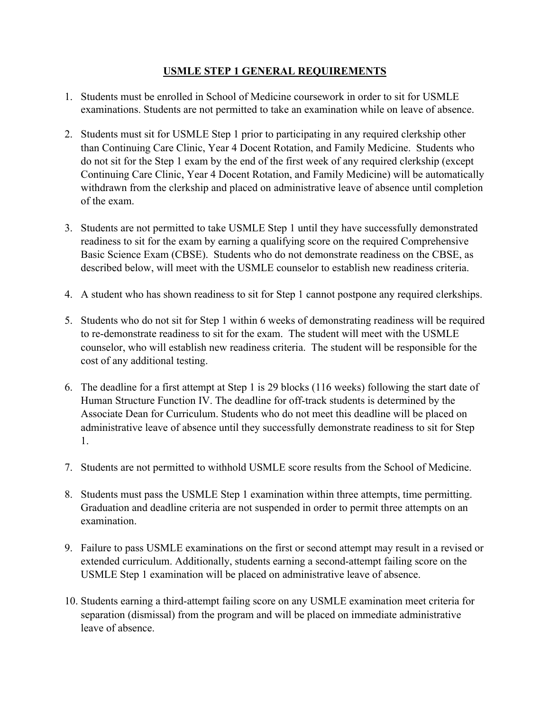#### **USMLE STEP 1 GENERAL REQUIREMENTS**

- 1. Students must be enrolled in School of Medicine coursework in order to sit for USMLE examinations. Students are not permitted to take an examination while on leave of absence.
- 2. Students must sit for USMLE Step 1 prior to participating in any required clerkship other than Continuing Care Clinic, Year 4 Docent Rotation, and Family Medicine. Students who do not sit for the Step 1 exam by the end of the first week of any required clerkship (except Continuing Care Clinic, Year 4 Docent Rotation, and Family Medicine) will be automatically withdrawn from the clerkship and placed on administrative leave of absence until completion of the exam.
- 3. Students are not permitted to take USMLE Step 1 until they have successfully demonstrated readiness to sit for the exam by earning a qualifying score on the required Comprehensive Basic Science Exam (CBSE). Students who do not demonstrate readiness on the CBSE, as described below, will meet with the USMLE counselor to establish new readiness criteria.
- 4. A student who has shown readiness to sit for Step 1 cannot postpone any required clerkships.
- 5. Students who do not sit for Step 1 within 6 weeks of demonstrating readiness will be required to re-demonstrate readiness to sit for the exam. The student will meet with the USMLE counselor, who will establish new readiness criteria. The student will be responsible for the cost of any additional testing.
- 6. The deadline for a first attempt at Step 1 is 29 blocks (116 weeks) following the start date of Human Structure Function IV. The deadline for off-track students is determined by the Associate Dean for Curriculum. Students who do not meet this deadline will be placed on administrative leave of absence until they successfully demonstrate readiness to sit for Step 1.
- 7. Students are not permitted to withhold USMLE score results from the School of Medicine.
- 8. Students must pass the USMLE Step 1 examination within three attempts, time permitting. Graduation and deadline criteria are not suspended in order to permit three attempts on an examination.
- 9. Failure to pass USMLE examinations on the first or second attempt may result in a revised or extended curriculum. Additionally, students earning a second-attempt failing score on the USMLE Step 1 examination will be placed on administrative leave of absence.
- 10. Students earning a third-attempt failing score on any USMLE examination meet criteria for separation (dismissal) from the program and will be placed on immediate administrative leave of absence.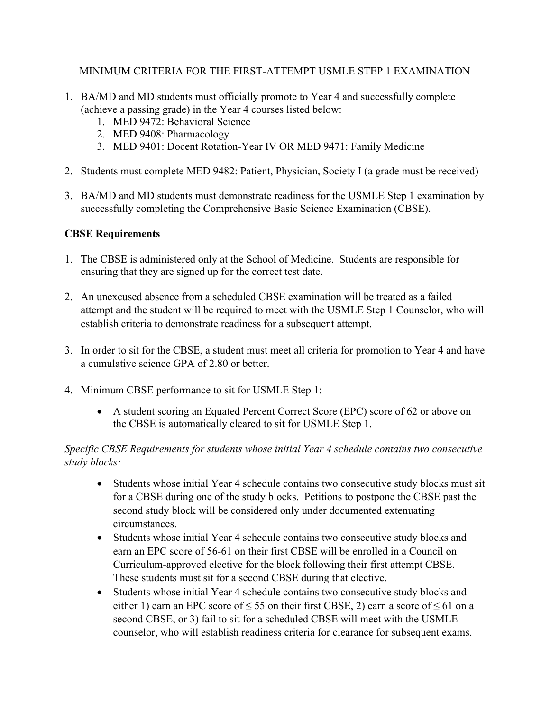#### MINIMUM CRITERIA FOR THE FIRST-ATTEMPT USMLE STEP 1 EXAMINATION

- 1. BA/MD and MD students must officially promote to Year 4 and successfully complete (achieve a passing grade) in the Year 4 courses listed below:
	- 1. MED 9472: Behavioral Science
	- 2. MED 9408: Pharmacology
	- 3. MED 9401: Docent Rotation-Year IV OR MED 9471: Family Medicine
- 2. Students must complete MED 9482: Patient, Physician, Society I (a grade must be received)
- 3. BA/MD and MD students must demonstrate readiness for the USMLE Step 1 examination by successfully completing the Comprehensive Basic Science Examination (CBSE).

## **CBSE Requirements**

- 1. The CBSE is administered only at the School of Medicine. Students are responsible for ensuring that they are signed up for the correct test date.
- 2. An unexcused absence from a scheduled CBSE examination will be treated as a failed attempt and the student will be required to meet with the USMLE Step 1 Counselor, who will establish criteria to demonstrate readiness for a subsequent attempt.
- 3. In order to sit for the CBSE, a student must meet all criteria for promotion to Year 4 and have a cumulative science GPA of 2.80 or better.
- 4. Minimum CBSE performance to sit for USMLE Step 1:
	- A student scoring an Equated Percent Correct Score (EPC) score of 62 or above on the CBSE is automatically cleared to sit for USMLE Step 1.

## *Specific CBSE Requirements for students whose initial Year 4 schedule contains two consecutive study blocks:*

- Students whose initial Year 4 schedule contains two consecutive study blocks must sit for a CBSE during one of the study blocks. Petitions to postpone the CBSE past the second study block will be considered only under documented extenuating circumstances.
- Students whose initial Year 4 schedule contains two consecutive study blocks and earn an EPC score of 56-61 on their first CBSE will be enrolled in a Council on Curriculum-approved elective for the block following their first attempt CBSE. These students must sit for a second CBSE during that elective.
- Students whose initial Year 4 schedule contains two consecutive study blocks and either 1) earn an EPC score of  $\leq 55$  on their first CBSE, 2) earn a score of  $\leq 61$  on a second CBSE, or 3) fail to sit for a scheduled CBSE will meet with the USMLE counselor, who will establish readiness criteria for clearance for subsequent exams.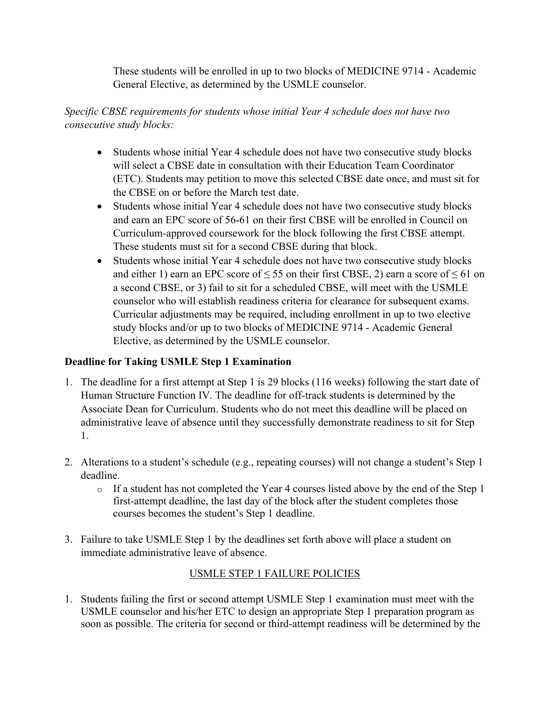These students will be enrolled in up to two blocks of MEDICINE 9714 - Academic General Elective, as determined by the USMLE counselor.

## *Specific CBSE requirements for students whose initial Year 4 schedule does not have two consecutive study blocks:*

- Students whose initial Year 4 schedule does not have two consecutive study blocks will select a CBSE date in consultation with their Education Team Coordinator (ETC). Students may petition to move this selected CBSE date once, and must sit for the CBSE on or before the March test date.
- Students whose initial Year 4 schedule does not have two consecutive study blocks and earn an EPC score of 56-61 on their first CBSE will be enrolled in Council on Curriculum-approved coursework for the block following the first CBSE attempt. These students must sit for a second CBSE during that block.
- Students whose initial Year 4 schedule does not have two consecutive study blocks and either 1) earn an EPC score of  $\leq$  55 on their first CBSE, 2) earn a score of  $\leq$  61 on a second CBSE, or 3) fail to sit for a scheduled CBSE, will meet with the USMLE counselor who will establish readiness criteria for clearance for subsequent exams. Curricular adjustments may be required, including enrollment in up to two elective study blocks and/or up to two blocks of MEDICINE 9714 - Academic General Elective, as determined by the USMLE counselor.

## **Deadline for Taking USMLE Step 1 Examination**

- 1. The deadline for a first attempt at Step 1 is 29 blocks (116 weeks) following the start date of Human Structure Function IV. The deadline for off-track students is determined by the Associate Dean for Curriculum. Students who do not meet this deadline will be placed on administrative leave of absence until they successfully demonstrate readiness to sit for Step 1.
- 2. Alterations to a student's schedule (e.g., repeating courses) will not change a student's Step 1 deadline.
	- o If a student has not completed the Year 4 courses listed above by the end of the Step 1 first-attempt deadline, the last day of the block after the student completes those courses becomes the student's Step 1 deadline.
- 3. Failure to take USMLE Step 1 by the deadlines set forth above will place a student on immediate administrative leave of absence.

# USMLE STEP 1 FAILURE POLICIES

1. Students failing the first or second attempt USMLE Step 1 examination must meet with the USMLE counselor and his/her ETC to design an appropriate Step 1 preparation program as soon as possible. The criteria for second or third-attempt readiness will be determined by the